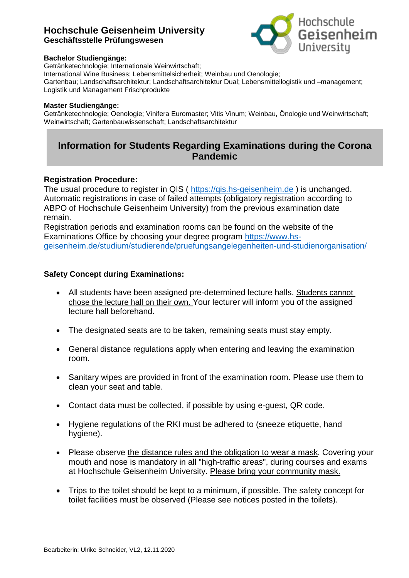## **Hochschule Geisenheim University Geschäftsstelle Prüfungswesen**



#### **Bachelor Studiengänge:**

Getränketechnologie; Internationale Weinwirtschaft; International Wine Business; Lebensmittelsicherheit; Weinbau und Oenologie; Gartenbau; Landschaftsarchitektur; Landschaftsarchitektur Dual; Lebensmittellogistik und –management; Logistik und Management Frischprodukte

#### **Master Studiengänge:**

Getränketechnologie; Oenologie; Vinifera Euromaster; Vitis Vinum; Weinbau, Önologie und Weinwirtschaft; Weinwirtschaft; Gartenbauwissenschaft; Landschaftsarchitektur

# **Information for Students Regarding Examinations during the Corona Pandemic**

### **Registration Procedure:**

The usual procedure to register in QIS ( [https://qis.hs-geisenheim.de](https://qis.hs-geisenheim.de/) ) is unchanged. Automatic registrations in case of failed attempts (obligatory registration according to ABPO of Hochschule Geisenheim University) from the previous examination date remain.

Registration periods and examination rooms can be found on the website of the Examinations Office by choosing your degree program [https://www.hs](https://www.hs-geisenheim.de/studium/studierende/pruefungsangelegenheiten-und-studienorganisation/)[geisenheim.de/studium/studierende/pruefungsangelegenheiten-und-studienorganisation/](https://www.hs-geisenheim.de/studium/studierende/pruefungsangelegenheiten-und-studienorganisation/)

### **Safety Concept during Examinations:**

- All students have been assigned pre-determined lecture halls. Students cannot chose the lecture hall on their own. Your lecturer will inform you of the assigned lecture hall beforehand.
- The designated seats are to be taken, remaining seats must stay empty.
- General distance regulations apply when entering and leaving the examination room.
- Sanitary wipes are provided in front of the examination room. Please use them to clean your seat and table.
- Contact data must be collected, if possible by using e-guest, QR code.
- Hygiene regulations of the RKI must be adhered to (sneeze etiquette, hand hygiene).
- Please observe the distance rules and the obligation to wear a mask. Covering your mouth and nose is mandatory in all "high-traffic areas", during courses and exams at Hochschule Geisenheim University. Please bring your community mask.
- Trips to the toilet should be kept to a minimum, if possible. The safety concept for toilet facilities must be observed (Please see notices posted in the toilets).